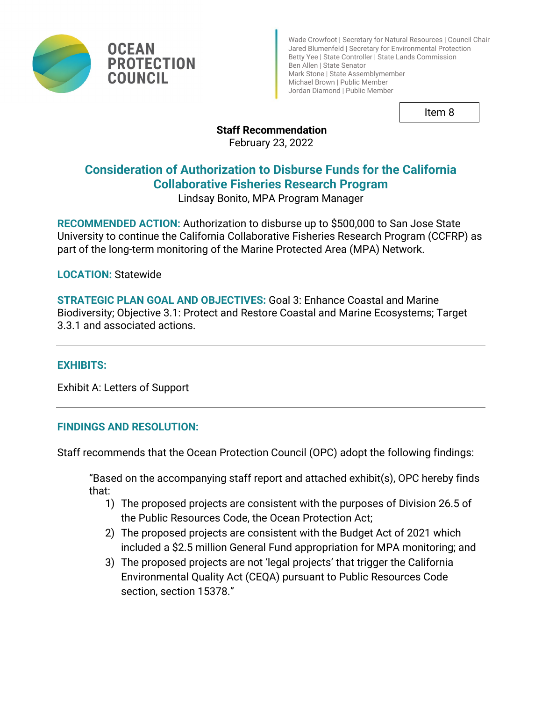

Wade Crowfoot | Secretary for Natural Resources | Council Chair Jared Blumenfeld | Secretary for Environmental Protection Betty Yee | State Controller | State Lands Commission Ben Allen | State Senator Mark Stone | State Assemblymember Michael Brown | Public Member Jordan Diamond | Public Member

Item 8

## **Staff Recommendation**

February 23, 2022

# **Consideration of Authorization to Disburse Funds for the California Collaborative Fisheries Research Program**

Lindsay Bonito, MPA Program Manager

**RECOMMENDED ACTION:** Authorization to disburse up to \$500,000 to San Jose State University to continue the California Collaborative Fisheries Research Program (CCFRP) as part of the long-term monitoring of the Marine Protected Area (MPA) Network.

**LOCATION:** Statewide

**OCEAN** 

**COUNCIL** 

**PROTECTION** 

**STRATEGIC PLAN GOAL AND OBJECTIVES:** Goal 3: Enhance Coastal and Marine Biodiversity; Objective 3.1: Protect and Restore Coastal and Marine Ecosystems; Target 3.3.1 and associated actions.

## **EXHIBITS:**

Exhibit A: Letters of Support

## **FINDINGS AND RESOLUTION:**

Staff recommends that the Ocean Protection Council (OPC) adopt the following findings:

"Based on the accompanying staff report and attached exhibit(s), OPC hereby finds that:

- 1) The proposed projects are consistent with the purposes of Division 26.5 of the Public Resources Code, the Ocean Protection Act;
- 2) The proposed projects are consistent with the Budget Act of 2021 which included a \$2.5 million General Fund appropriation for MPA monitoring; and
- 3) The proposed projects are not 'legal projects' that trigger the California Environmental Quality Act (CEQA) pursuant to Public Resources Code section, section 15378."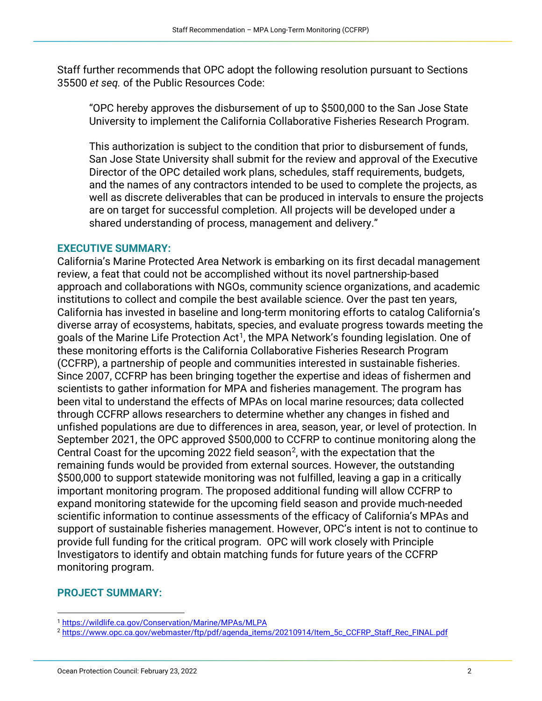Staff further recommends that OPC adopt the following resolution pursuant to Sections 35500 *et seq.* of the Public Resources Code:

"OPC hereby approves the disbursement of up to \$500,000 to the San Jose State University to implement the California Collaborative Fisheries Research Program.

This authorization is subject to the condition that prior to disbursement of funds, San Jose State University shall submit for the review and approval of the Executive Director of the OPC detailed work plans, schedules, staff requirements, budgets, and the names of any contractors intended to be used to complete the projects, as well as discrete deliverables that can be produced in intervals to ensure the projects are on target for successful completion. All projects will be developed under a shared understanding of process, management and delivery."

#### **EXECUTIVE SUMMARY:**

California's Marine Protected Area Network is embarking on its first decadal management review, a feat that could not be accomplished without its novel partnership-based approach and collaborations with NGOs, community science organizations, and academic institutions to collect and compile the best available science. Over the past ten years, California has invested in baseline and long-term monitoring efforts to catalog California's diverse array of ecosystems, habitats, species, and evaluate progress towards meeting the goals of the Marine Life Protection Act<sup>[1](#page-1-0)</sup>, the MPA Network's founding legislation. One of these monitoring efforts is the California Collaborative Fisheries Research Program (CCFRP), a partnership of people and communities interested in sustainable fisheries. Since 2007, CCFRP has been bringing together the expertise and ideas of fishermen and scientists to gather information for MPA and fisheries management. The program has been vital to understand the effects of MPAs on local marine resources; data collected through CCFRP allows researchers to determine whether any changes in fished and unfished populations are due to differences in area, season, year, or level of protection. In September 2021, the OPC approved \$500,000 to CCFRP to continue monitoring along the Central Coast for the upcoming [2](#page-1-1)022 field season<sup>2</sup>, with the expectation that the remaining funds would be provided from external sources. However, the outstanding \$500,000 to support statewide monitoring was not fulfilled, leaving a gap in a critically important monitoring program. The proposed additional funding will allow CCFRP to expand monitoring statewide for the upcoming field season and provide much-needed scientific information to continue assessments of the efficacy of California's MPAs and support of sustainable fisheries management. However, OPC's intent is not to continue to provide full funding for the critical program. OPC will work closely with Principle Investigators to identify and obtain matching funds for future years of the CCFRP monitoring program.

#### **PROJECT SUMMARY:**

<span id="page-1-1"></span><span id="page-1-0"></span><sup>1</sup> <https://wildlife.ca.gov/Conservation/Marine/MPAs/MLPA>

<sup>2</sup> [https://www.opc.ca.gov/webmaster/ftp/pdf/agenda\\_items/20210914/Item\\_5c\\_CCFRP\\_Staff\\_Rec\\_FINAL.pdf](https://www.opc.ca.gov/webmaster/ftp/pdf/agenda_items/20210914/Item_5c_CCFRP_Staff_Rec_FINAL.pdf)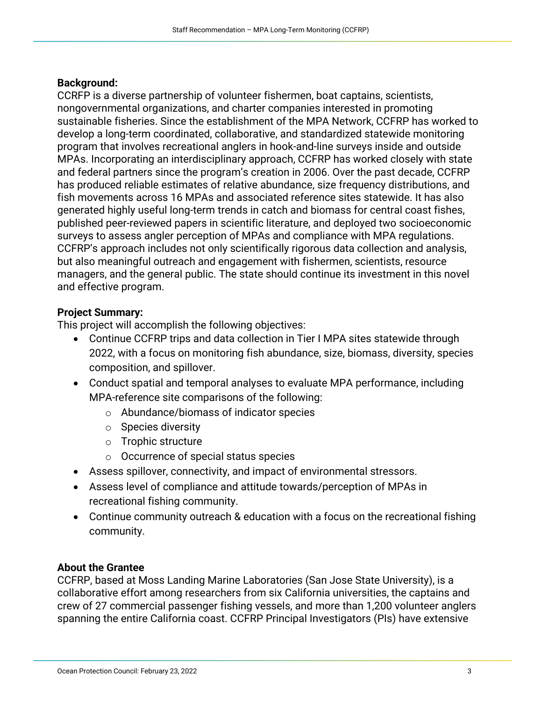#### **Background:**

CCRFP is a diverse partnership of volunteer fishermen, boat captains, scientists, nongovernmental organizations, and charter companies interested in promoting sustainable fisheries. Since the establishment of the MPA Network, CCFRP has worked to develop a long-term coordinated, collaborative, and standardized statewide monitoring program that involves recreational anglers in hook-and-line surveys inside and outside MPAs. Incorporating an interdisciplinary approach, CCFRP has worked closely with state and federal partners since the program's creation in 2006. Over the past decade, CCFRP has produced reliable estimates of relative abundance, size frequency distributions, and fish movements across 16 MPAs and associated reference sites statewide. It has also generated highly useful long-term trends in catch and biomass for central coast fishes, published peer-reviewed papers in scientific literature, and deployed two socioeconomic surveys to assess angler perception of MPAs and compliance with MPA regulations. CCFRP's approach includes not only scientifically rigorous data collection and analysis, but also meaningful outreach and engagement with fishermen, scientists, resource managers, and the general public. The state should continue its investment in this novel and effective program.

#### **Project Summary:**

This project will accomplish the following objectives:

- Continue CCFRP trips and data collection in Tier I MPA sites statewide through 2022, with a focus on monitoring fish abundance, size, biomass, diversity, species composition, and spillover.
- Conduct spatial and temporal analyses to evaluate MPA performance, including MPA-reference site comparisons of the following:
	- o Abundance/biomass of indicator species
	- o Species diversity
	- o Trophic structure
	- o Occurrence of special status species
- Assess spillover, connectivity, and impact of environmental stressors.
- Assess level of compliance and attitude towards/perception of MPAs in recreational fishing community.
- Continue community outreach & education with a focus on the recreational fishing community.

## **About the Grantee**

CCFRP, based at Moss Landing Marine Laboratories (San Jose State University), is a collaborative effort among researchers from six California universities, the captains and crew of 27 commercial passenger fishing vessels, and more than 1,200 volunteer anglers spanning the entire California coast. CCFRP Principal Investigators (PIs) have extensive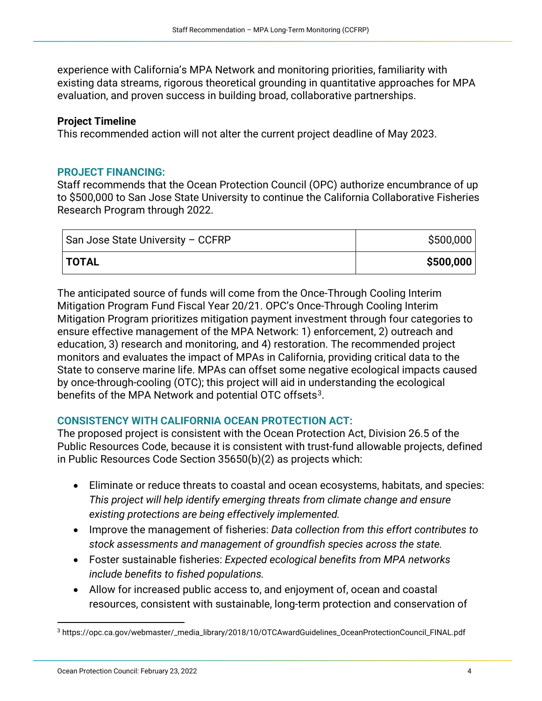experience with California's MPA Network and monitoring priorities, familiarity with existing data streams, rigorous theoretical grounding in quantitative approaches for MPA evaluation, and proven success in building broad, collaborative partnerships.

#### **Project Timeline**

This recommended action will not alter the current project deadline of May 2023.

#### **PROJECT FINANCING:**

Staff recommends that the Ocean Protection Council (OPC) authorize encumbrance of up to \$500,000 to San Jose State University to continue the California Collaborative Fisheries Research Program through 2022.

| San Jose State University - CCFRP | \$500,000 |
|-----------------------------------|-----------|
| <b>TOTAL</b>                      | \$500,000 |

The anticipated source of funds will come from the Once-Through Cooling Interim Mitigation Program Fund Fiscal Year 20/21. OPC's Once-Through Cooling Interim Mitigation Program prioritizes mitigation payment investment through four categories to ensure effective management of the MPA Network: 1) enforcement, 2) outreach and education, 3) research and monitoring, and 4) restoration. The recommended project monitors and evaluates the impact of MPAs in California, providing critical data to the State to conserve marine life. MPAs can offset some negative ecological impacts caused by once-through-cooling (OTC); this project will aid in understanding the ecological benefits of the MPA Network and potential OTC offsets<sup>[3](#page-3-0)</sup>.

## **CONSISTENCY WITH CALIFORNIA OCEAN PROTECTION ACT:**

The proposed project is consistent with the Ocean Protection Act, Division 26.5 of the Public Resources Code, because it is consistent with trust-fund allowable projects, defined in Public Resources Code Section 35650(b)(2) as projects which:

- Eliminate or reduce threats to coastal and ocean ecosystems, habitats, and species: *This project will help identify emerging threats from climate change and ensure existing protections are being effectively implemented.*
- Improve the management of fisheries: *Data collection from this effort contributes to stock assessments and management of groundfish species across the state.*
- Foster sustainable fisheries: *Expected ecological benefits from MPA networks include benefits to fished populations.*
- Allow for increased public access to, and enjoyment of, ocean and coastal resources, consistent with sustainable, long-term protection and conservation of

<span id="page-3-0"></span><sup>3</sup> https://opc.ca.gov/webmaster/\_media\_library/2018/10/OTCAwardGuidelines\_OceanProtectionCouncil\_FINAL.pdf